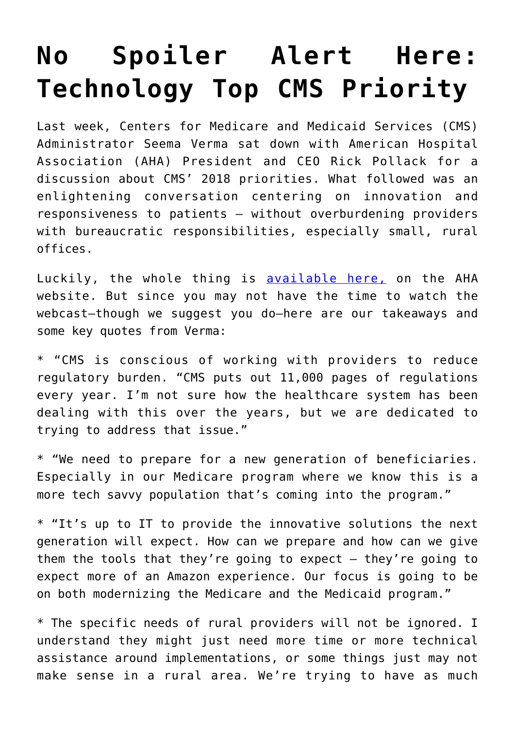## **[No Spoiler Alert Here:](https://www.cns-inc.com/insights/thought-leadership/no-spoiler-alert-here-technology-top-cms-priority/) [Technology Top CMS Priority](https://www.cns-inc.com/insights/thought-leadership/no-spoiler-alert-here-technology-top-cms-priority/)**

Last week, Centers for Medicare and Medicaid Services (CMS) Administrator Seema Verma sat down with American Hospital Association (AHA) President and CEO Rick Pollack for a discussion about CMS' 2018 priorities. What followed was an enlightening conversation centering on innovation and responsiveness to patients – without overburdening providers with bureaucratic responsibilities, especially small, rural offices.

Luckily, the whole thing is [available here,](http://windrosemedia.com/windstream/aha/011718/) on the AHA website. But since you may not have the time to watch the webcast–though we suggest you do–here are our takeaways and some key quotes from Verma:

\* "CMS is conscious of working with providers to reduce regulatory burden. "CMS puts out 11,000 pages of regulations every year. I'm not sure how the healthcare system has been dealing with this over the years, but we are dedicated to trying to address that issue."

\* "We need to prepare for a new generation of beneficiaries. Especially in our Medicare program where we know this is a more tech savvy population that's coming into the program."

\* "It's up to IT to provide the innovative solutions the next generation will expect. How can we prepare and how can we give them the tools that they're going to expect – they're going to expect more of an Amazon experience. Our focus is going to be on both modernizing the Medicare and the Medicaid program."

\* The specific needs of rural providers will not be ignored. I understand they might just need more time or more technical assistance around implementations, or some things just may not make sense in a rural area. We're trying to have as much